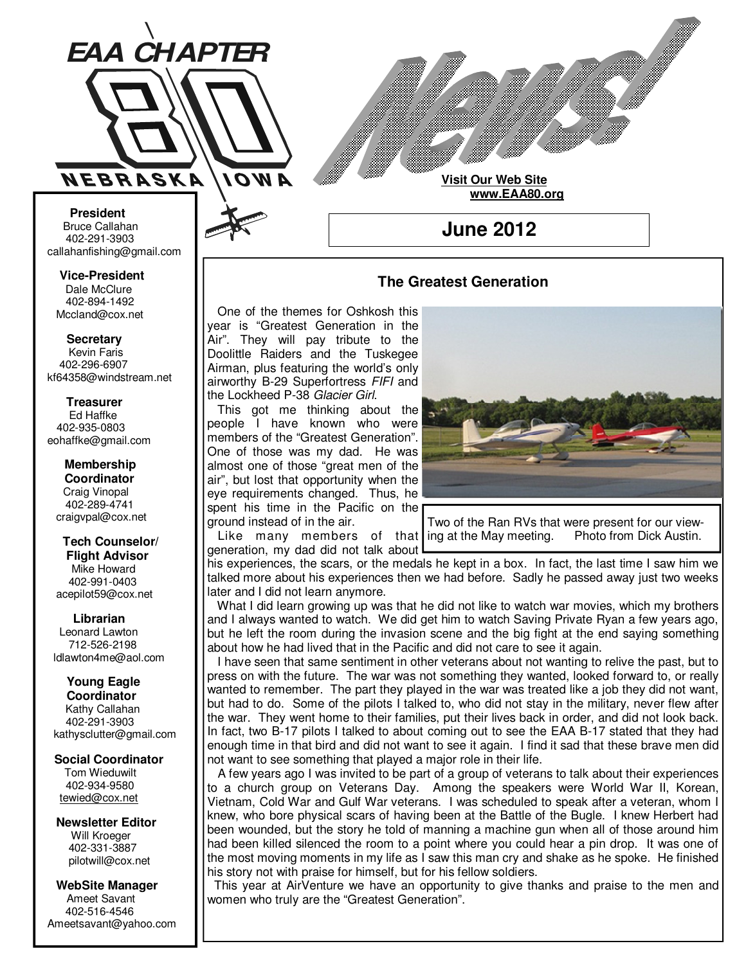

**Visit Our Web Site www.EAA80.org**

**June 2012** 

### **The Greatest Generation**

 One of the themes for Oshkosh this year is "Greatest Generation in the Air". They will pay tribute to the Doolittle Raiders and the Tuskegee Airman, plus featuring the world's only airworthy B-29 Superfortress FIFI and the Lockheed P-38 Glacier Girl.

 This got me thinking about the people I have known who were members of the "Greatest Generation". One of those was my dad. He was almost one of those "great men of the air", but lost that opportunity when the eye requirements changed. Thus, he spent his time in the Pacific on the ground instead of in the air.

generation, my dad did not talk about



Like many members of that ling at the May meeting. Photo from Dick Austin. Two of the Ran RVs that were present for our view-

**Bruce Callahan** 402-291-3903 callahanfishing@gmail.com jrnuke@cox.net

Dale McClure 402-894-1492 Mccland@cox.net  **Vice-President** 

**Kevin Faris** 402-296-6907 kf64358@windstream.net  **Secretary** 

Ed Haffke 402-935-0803 eohaffke@gmail.com  **Treasurer** 

eohaffke@gmail.com **Membership Coordi- Coordinator**  Craig Vinopal Bob Cartwright 402-289-4741 craigvpal@cox.net  **Membership** 

robertc@novia.net **Tech Counselors & Flight Advisor** Mike Howard Bob Harvey 402-991-0403 acepilot59@cox.net  **Tech Counselor/** 

Leonard Lawton 402-991-0403 712-526-2198 ldlawton4me@aol.com  **Librarian**

**Librarian Young Eagle Coordinator** Kathy Callahan ldlawton4me@aol.com 402-291-3903 kathysclutter@gmail.com

 **Coordinator Social Coordinator**  Tom Wieduwilt 402-964-2645 402-934-9580 tewied@cox.net

**Newsletter Editor Newsletter Editor**  Will Kroeger Will Kroeger 402-331-3887 402-331-3887 pilotwill@cox.net

**WebSite Manager WebSite Manager**  Ameet Savant 402-516-4546 Ameet Savant<br>402-516-4546<br>Ameetsavant@yahoo.com

### his experiences, the scars, or the medals he kept in a box. In fact, the last time I saw him we talked more about his experiences then we had before. Sadly he passed away just two weeks later and I did not learn anymore.

 What I did learn growing up was that he did not like to watch war movies, which my brothers and I always wanted to watch. We did get him to watch Saving Private Ryan a few years ago, but he left the room during the invasion scene and the big fight at the end saying something about how he had lived that in the Pacific and did not care to see it again.

 I have seen that same sentiment in other veterans about not wanting to relive the past, but to press on with the future. The war was not something they wanted, looked forward to, or really wanted to remember. The part they played in the war was treated like a job they did not want, but had to do. Some of the pilots I talked to, who did not stay in the military, never flew after the war. They went home to their families, put their lives back in order, and did not look back. In fact, two B-17 pilots I talked to about coming out to see the EAA B-17 stated that they had enough time in that bird and did not want to see it again. I find it sad that these brave men did not want to see something that played a major role in their life.

 A few years ago I was invited to be part of a group of veterans to talk about their experiences to a church group on Veterans Day. Among the speakers were World War II, Korean, Vietnam, Cold War and Gulf War veterans. I was scheduled to speak after a veteran, whom I knew, who bore physical scars of having been at the Battle of the Bugle. I knew Herbert had been wounded, but the story he told of manning a machine gun when all of those around him had been killed silenced the room to a point where you could hear a pin drop. It was one of the most moving moments in my life as I saw this man cry and shake as he spoke. He finished his story not with praise for himself, but for his fellow soldiers.

 This year at AirVenture we have an opportunity to give thanks and praise to the men and women who truly are the "Greatest Generation".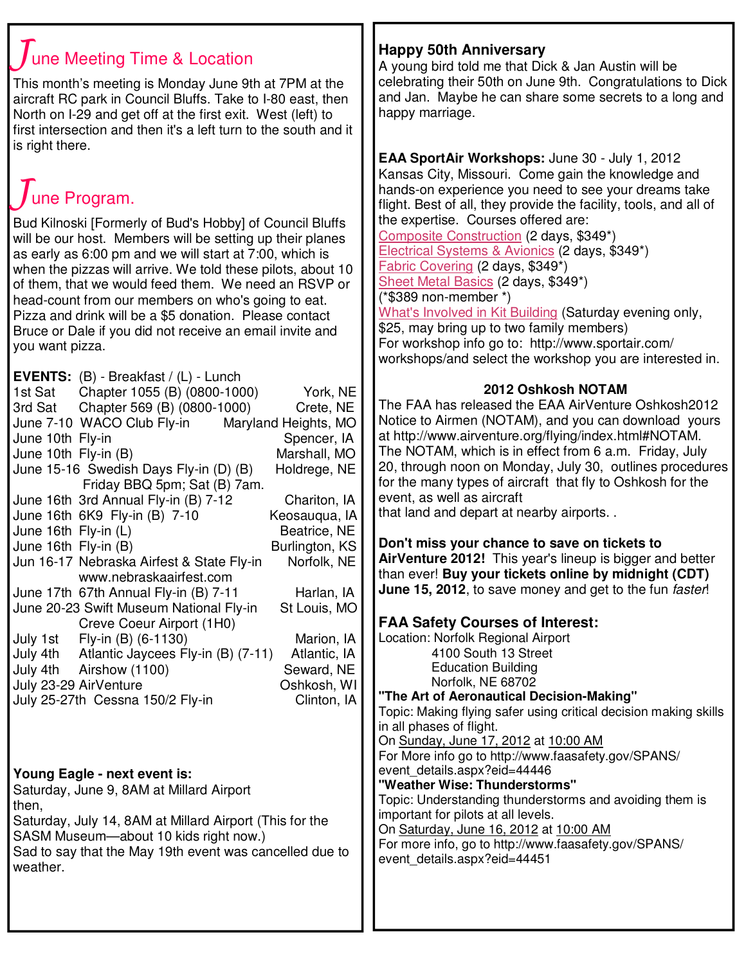# une Meeting Time & Location

This month's meeting is Monday June 9th at 7PM at the aircraft RC park in Council Bluffs. Take to I-80 east, then North on I-29 and get off at the first exit. West (left) to first intersection and then it's a left turn to the south and it is right there.

# June Program.

Bud Kilnoski [Formerly of Bud's Hobby] of Council Bluffs will be our host. Members will be setting up their planes as early as 6:00 pm and we will start at 7:00, which is when the pizzas will arrive. We told these pilots, about 10 of them, that we would feed them. We need an RSVP or head-count from our members on who's going to eat. Pizza and drink will be a \$5 donation. Please contact Bruce or Dale if you did not receive an email invite and you want pizza.

|                      | <b>EVENTS:</b> $(B)$ - Breakfast / $(L)$ - Lunch |                |
|----------------------|--------------------------------------------------|----------------|
|                      | 1st Sat Chapter 1055 (B) (0800-1000)             | York, NE       |
|                      | 3rd Sat Chapter 569 (B) (0800-1000)              | Crete, NE      |
|                      | June 7-10 WACO Club Fly-in Maryland Heights, MO  |                |
| June 10th Fly-in     |                                                  | Spencer, IA    |
| June 10th Fly-in (B) |                                                  | Marshall, MO   |
|                      | June 15-16 Swedish Days Fly-in (D) (B)           | Holdrege, NE   |
|                      | Friday BBQ 5pm; Sat (B) 7am.                     |                |
|                      | June 16th 3rd Annual Fly-in (B) 7-12             | Chariton, IA   |
|                      | June 16th 6K9 Fly-in (B) 7-10                    | Keosauqua, IA  |
| June 16th Fly-in (L) |                                                  | Beatrice, NE   |
| June 16th Fly-in (B) |                                                  | Burlington, KS |
|                      | Jun 16-17 Nebraska Airfest & State Fly-in        | Norfolk, NE    |
|                      | www.nebraskaairfest.com                          |                |
|                      | June 17th 67th Annual Fly-in (B) 7-11            | Harlan, IA     |
|                      | June 20-23 Swift Museum National Fly-in          | St Louis, MO   |
|                      | Creve Coeur Airport (1H0)                        |                |
|                      | July 1st Fly-in (B) (6-1130)                     | Marion, IA     |
|                      | July 4th Atlantic Jaycees Fly-in (B) (7-11)      | Atlantic, IA   |
|                      | July 4th Airshow (1100)                          | Seward, NE     |
|                      | July 23-29 AirVenture                            | Oshkosh, WI    |
|                      | July 25-27th Cessna 150/2 Fly-in                 | Clinton, IA    |
|                      |                                                  |                |

**Young Eagle - next event is:** Saturday, June 9, 8AM at Millard Airport then, Saturday, July 14, 8AM at Millard Airport (This for the SASM Museum—about 10 kids right now.) Sad to say that the May 19th event was cancelled due to weather.

# **Happy 50th Anniversary**

A young bird told me that Dick & Jan Austin will be celebrating their 50th on June 9th. Congratulations to Dick and Jan. Maybe he can share some secrets to a long and happy marriage.

**EAA SportAir Workshops:** June 30 - July 1, 2012 Kansas City, Missouri. Come gain the knowledge and hands-on experience you need to see your dreams take flight. Best of all, they provide the facility, tools, and all of the expertise. Courses offered are:

Composite Construction (2 days, \$349\*) Electrical Systems & Avionics (2 days, \$349\*) Fabric Covering (2 days, \$349\*) Sheet Metal Basics (2 days, \$349\*) (\*\$389 non-member \*)

What's Involved in Kit Building (Saturday evening only, \$25, may bring up to two family members) For workshop info go to: http://www.sportair.com/ workshops/and select the workshop you are interested in.

## **2012 Oshkosh NOTAM**

The FAA has released the EAA AirVenture Oshkosh2012 Notice to Airmen (NOTAM), and you can download yours at http://www.airventure.org/flying/index.html#NOTAM. The NOTAM, which is in effect from 6 a.m. Friday, July 20, through noon on Monday, July 30, outlines procedures for the many types of aircraft that fly to Oshkosh for the event, as well as aircraft

that land and depart at nearby airports. .

**Don't miss your chance to save on tickets to AirVenture 2012!** This year's lineup is bigger and better than ever! **Buy your tickets online by midnight (CDT) June 15, 2012**, to save money and get to the fun faster!

# **FAA Safety Courses of Interest:**

Location: Norfolk Regional Airport 4100 South 13 Street Education Building Norfolk, NE 68702

**"The Art of Aeronautical Decision-Making"** Topic: Making flying safer using critical decision making skills in all phases of flight.

On Sunday, June 17, 2012 at 10:00 AM For More info go to http://www.faasafety.gov/SPANS/ event\_details.aspx?eid=44446

### **"Weather Wise: Thunderstorms"**

Topic: Understanding thunderstorms and avoiding them is important for pilots at all levels.

On Saturday, June 16, 2012 at 10:00 AM

For more info, go to http://www.faasafety.gov/SPANS/ event\_details.aspx?eid=44451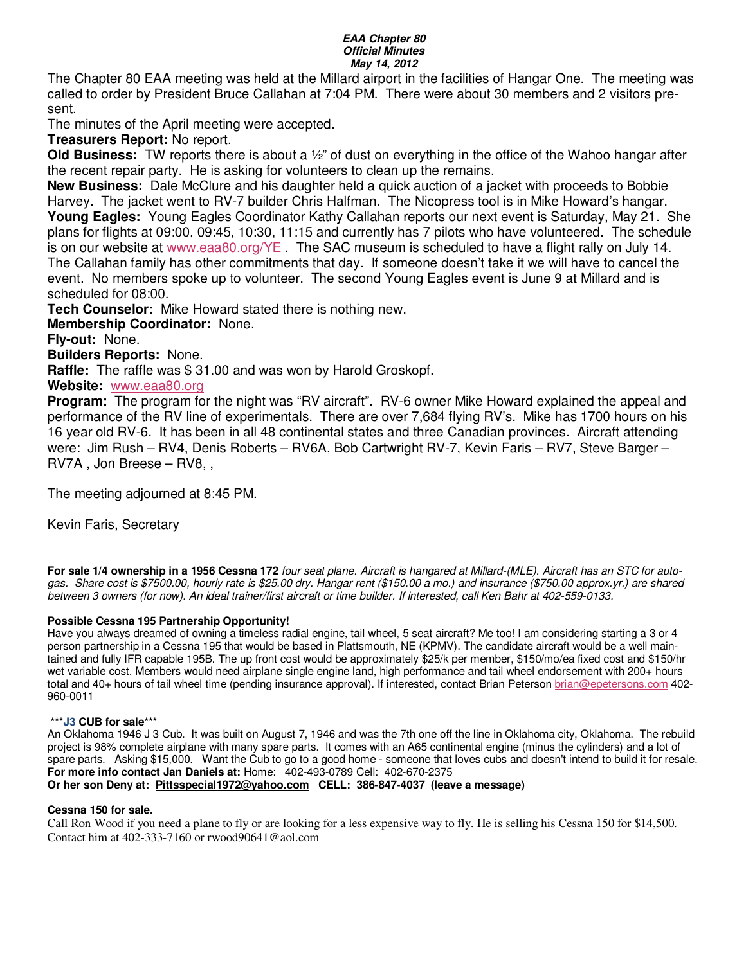#### **EAA Chapter 80 Official Minutes May 14, 2012**

The Chapter 80 EAA meeting was held at the Millard airport in the facilities of Hangar One. The meeting was called to order by President Bruce Callahan at 7:04 PM. There were about 30 members and 2 visitors present.

The minutes of the April meeting were accepted.

**Treasurers Report:** No report.

**Old Business:** TW reports there is about a ½" of dust on everything in the office of the Wahoo hangar after the recent repair party. He is asking for volunteers to clean up the remains.

**New Business:** Dale McClure and his daughter held a quick auction of a jacket with proceeds to Bobbie Harvey. The jacket went to RV-7 builder Chris Halfman. The Nicopress tool is in Mike Howard's hangar. **Young Eagles:** Young Eagles Coordinator Kathy Callahan reports our next event is Saturday, May 21. She plans for flights at 09:00, 09:45, 10:30, 11:15 and currently has 7 pilots who have volunteered. The schedule is on our website at www.eaa80.org/YE . The SAC museum is scheduled to have a flight rally on July 14. The Callahan family has other commitments that day. If someone doesn't take it we will have to cancel the event. No members spoke up to volunteer. The second Young Eagles event is June 9 at Millard and is scheduled for 08:00.

**Tech Counselor:** Mike Howard stated there is nothing new.

**Membership Coordinator:** None.

**Fly-out:** None.

**Builders Reports:** None.

**Raffle:** The raffle was \$ 31.00 and was won by Harold Groskopf.

**Website:** www.eaa80.org

**Program:** The program for the night was "RV aircraft". RV-6 owner Mike Howard explained the appeal and performance of the RV line of experimentals. There are over 7,684 flying RV's. Mike has 1700 hours on his 16 year old RV-6. It has been in all 48 continental states and three Canadian provinces. Aircraft attending were: Jim Rush – RV4, Denis Roberts – RV6A, Bob Cartwright RV-7, Kevin Faris – RV7, Steve Barger – RV7A , Jon Breese – RV8, ,

The meeting adjourned at 8:45 PM.

Kevin Faris, Secretary

**For sale 1/4 ownership in a 1956 Cessna 172** four seat plane. Aircraft is hangared at Millard-(MLE). Aircraft has an STC for autogas. Share cost is \$7500.00, hourly rate is \$25.00 dry. Hangar rent (\$150.00 a mo.) and insurance (\$750.00 approx.yr.) are shared between 3 owners (for now). An ideal trainer/first aircraft or time builder. If interested, call Ken Bahr at 402-559-0133.

### **Possible Cessna 195 Partnership Opportunity!**

Have you always dreamed of owning a timeless radial engine, tail wheel, 5 seat aircraft? Me too! I am considering starting a 3 or 4 person partnership in a Cessna 195 that would be based in Plattsmouth, NE (KPMV). The candidate aircraft would be a well maintained and fully IFR capable 195B. The up front cost would be approximately \$25/k per member, \$150/mo/ea fixed cost and \$150/hr wet variable cost. Members would need airplane single engine land, high performance and tail wheel endorsement with 200+ hours total and 40+ hours of tail wheel time (pending insurance approval). If interested, contact Brian Peterson brian@epetersons.com 402- 960-0011

### **\*\*\*J3 CUB for sale\*\*\***

An Oklahoma 1946 J 3 Cub. It was built on August 7, 1946 and was the 7th one off the line in Oklahoma city, Oklahoma. The rebuild project is 98% complete airplane with many spare parts. It comes with an A65 continental engine (minus the cylinders) and a lot of spare parts. Asking \$15,000. Want the Cub to go to a good home - someone that loves cubs and doesn't intend to build it for resale. **For more info contact Jan Daniels at:** Home: 402-493-0789 Cell: 402-670-2375 **Or her son Deny at: Pittsspecial1972@yahoo.com CELL: 386-847-4037 (leave a message)** 

### **Cessna 150 for sale.**

Call Ron Wood if you need a plane to fly or are looking for a less expensive way to fly. He is selling his Cessna 150 for \$14,500. Contact him at 402-333-7160 or rwood90641@aol.com